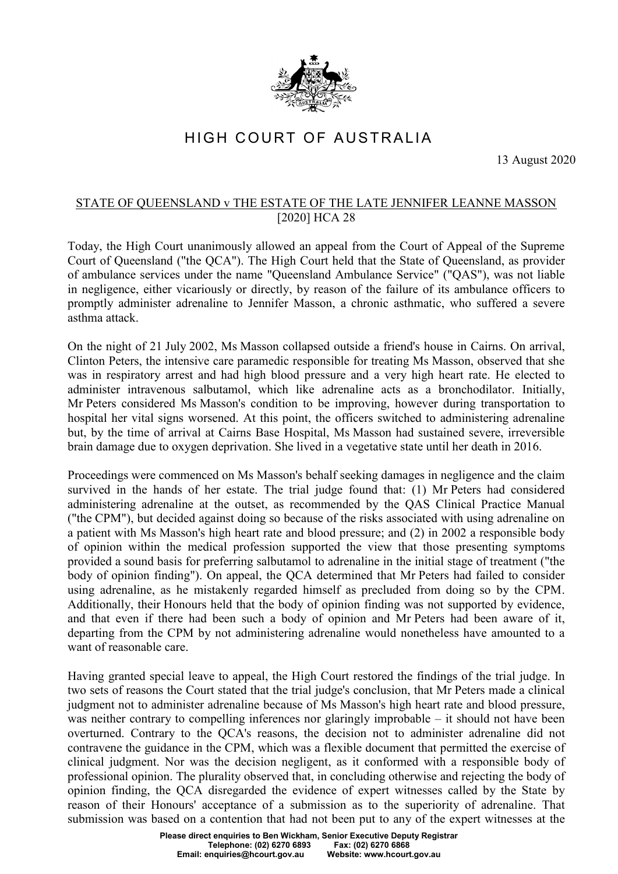

## HIGH COURT OF AUSTRALIA

13 August 2020

## STATE OF QUEENSLAND v THE ESTATE OF THE LATE JENNIFER LEANNE MASSON [2020] HCA 28

Today, the High Court unanimously allowed an appeal from the Court of Appeal of the Supreme Court of Queensland ("the QCA"). The High Court held that the State of Queensland, as provider of ambulance services under the name "Queensland Ambulance Service" ("QAS"), was not liable in negligence, either vicariously or directly, by reason of the failure of its ambulance officers to promptly administer adrenaline to Jennifer Masson, a chronic asthmatic, who suffered a severe asthma attack.

On the night of 21 July 2002, Ms Masson collapsed outside a friend's house in Cairns. On arrival, Clinton Peters, the intensive care paramedic responsible for treating Ms Masson, observed that she was in respiratory arrest and had high blood pressure and a very high heart rate. He elected to administer intravenous salbutamol, which like adrenaline acts as a bronchodilator. Initially, Mr Peters considered Ms Masson's condition to be improving, however during transportation to hospital her vital signs worsened. At this point, the officers switched to administering adrenaline but, by the time of arrival at Cairns Base Hospital, Ms Masson had sustained severe, irreversible brain damage due to oxygen deprivation. She lived in a vegetative state until her death in 2016.

Proceedings were commenced on Ms Masson's behalf seeking damages in negligence and the claim survived in the hands of her estate. The trial judge found that: (1) Mr Peters had considered administering adrenaline at the outset, as recommended by the QAS Clinical Practice Manual ("the CPM"), but decided against doing so because of the risks associated with using adrenaline on a patient with Ms Masson's high heart rate and blood pressure; and (2) in 2002 a responsible body of opinion within the medical profession supported the view that those presenting symptoms provided a sound basis for preferring salbutamol to adrenaline in the initial stage of treatment ("the body of opinion finding"). On appeal, the QCA determined that Mr Peters had failed to consider using adrenaline, as he mistakenly regarded himself as precluded from doing so by the CPM. Additionally, their Honours held that the body of opinion finding was not supported by evidence, and that even if there had been such a body of opinion and Mr Peters had been aware of it, departing from the CPM by not administering adrenaline would nonetheless have amounted to a want of reasonable care.

Having granted special leave to appeal, the High Court restored the findings of the trial judge. In two sets of reasons the Court stated that the trial judge's conclusion, that Mr Peters made a clinical judgment not to administer adrenaline because of Ms Masson's high heart rate and blood pressure, was neither contrary to compelling inferences nor glaringly improbable – it should not have been overturned. Contrary to the QCA's reasons, the decision not to administer adrenaline did not contravene the guidance in the CPM, which was a flexible document that permitted the exercise of clinical judgment. Nor was the decision negligent, as it conformed with a responsible body of professional opinion. The plurality observed that, in concluding otherwise and rejecting the body of opinion finding, the QCA disregarded the evidence of expert witnesses called by the State by reason of their Honours' acceptance of a submission as to the superiority of adrenaline. That submission was based on a contention that had not been put to any of the expert witnesses at the

> **Please direct enquiries to Ben Wickham, Senior Executive Deputy Registrar Telephone: (02) 6270 6893 Fax: (02) 6270 6868 Email: enquiries@hcourt.gov.au**